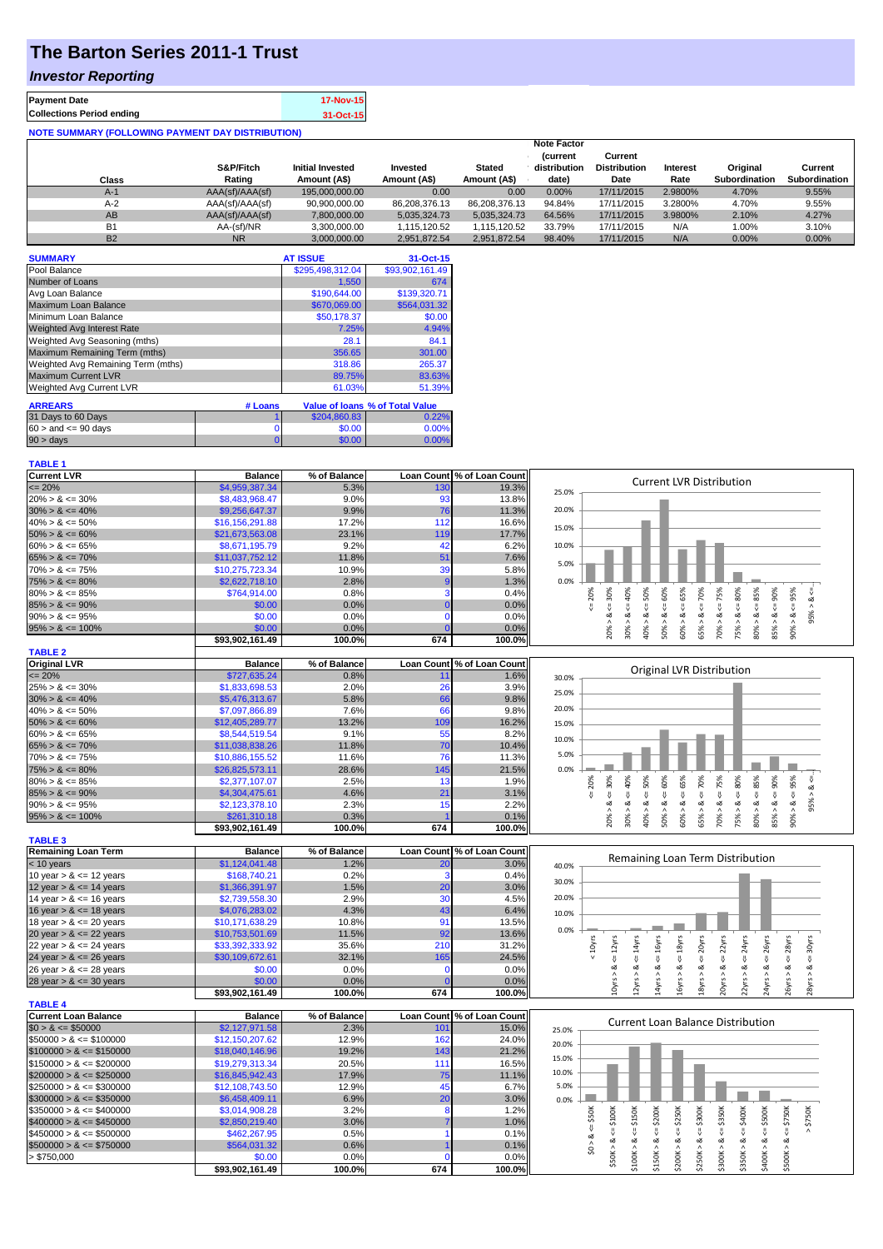## **The Barton Series 2011-1 Trust**

### *Investor Reporting*

| <b>Payment Date</b>              | 17-Nov-15 |
|----------------------------------|-----------|
| <b>Collections Period ending</b> | 31-Oct-15 |
|                                  |           |

| <b>NOTE SUMMARY (FOLLOWING PAYMENT DAY DISTRIBUTION)</b> |                 |                  |               |               |                                |                                |          |                      |                      |
|----------------------------------------------------------|-----------------|------------------|---------------|---------------|--------------------------------|--------------------------------|----------|----------------------|----------------------|
|                                                          |                 |                  |               |               | <b>Note Factor</b>             |                                |          |                      |                      |
|                                                          | S&P/Fitch       | Initial Invested | Invested      | <b>Stated</b> | <b>Current</b><br>distribution | Current<br><b>Distribution</b> | Interest | Original             | Current              |
| Class                                                    | Rating          | Amount (A\$)     | Amount (A\$)  | Amount (A\$)  | date)                          | Date                           | Rate     | <b>Subordination</b> | <b>Subordination</b> |
| $A-1$                                                    | AAA(sf)/AAA(sf) | 195,000,000.00   | 0.00          | 0.00          | $0.00\%$                       | 17/11/2015                     | 2.9800%  | 4.70%                | 9.55%                |
| $A-2$                                                    | AAA(sf)/AAA(sf) | 90,900,000.00    | 86,208,376.13 | 86.208.376.13 | 94.84%                         | 17/11/2015                     | 3.2800%  | 4.70%                | 9.55%                |
| AB                                                       | AAA(sf)/AAA(sf) | 7.800.000.00     | 5,035,324.73  | 5.035.324.73  | 64.56%                         | 17/11/2015                     | 3.9800%  | 2.10%                | 4.27%                |
| <b>B1</b>                                                | AA-(sf)/NR      | 3.300.000.00     | 1.115.120.52  | 1.115.120.52  | 33.79%                         | 17/11/2015                     | N/A      | 1.00%                | 3.10%                |
| <b>B2</b>                                                | <b>NR</b>       | 3.000.000.00     | 2.951.872.54  | 2.951.872.54  | 98.40%                         | 17/11/2015                     | N/A      | $0.00\%$             | 0.00%                |

| <b>SUMMARY</b>                     |         | <b>AT ISSUE</b>  | 31-Oct-15                              |
|------------------------------------|---------|------------------|----------------------------------------|
| Pool Balance                       |         | \$295,498,312.04 | \$93,902,161.49                        |
| Number of Loans                    |         | 1,550            | 674                                    |
| Avg Loan Balance                   |         | \$190,644.00     | \$139,320.71                           |
| Maximum Loan Balance               |         | \$670,069.00     | \$564,031.32                           |
| Minimum Loan Balance               |         | \$50,178.37      | \$0.00                                 |
| <b>Weighted Avg Interest Rate</b>  |         | 7.25%            | 4.94%                                  |
| Weighted Avg Seasoning (mths)      |         | 28.1             | 84.1                                   |
| Maximum Remaining Term (mths)      |         | 356.65           | 301.00                                 |
| Weighted Avg Remaining Term (mths) |         | 318.86           | 265.37                                 |
| <b>Maximum Current LVR</b>         |         | 89.75%           | 83.63%                                 |
| Weighted Avg Current LVR           |         | 61.03%           | 51.39%                                 |
| <b>ARREARS</b>                     | # Loans |                  | <b>Value of loans % of Total Value</b> |
| 31 Days to 60 Days                 |         | \$204,860.83     | 0.22%                                  |
| $60 >$ and $\leq 90$ days          | 0       | \$0.00           | 0.00%                                  |
| $90 > \text{days}$                 | 0       | \$0.00           | 0.00%                                  |

# **TABLE 1**<br>Current LVR

| <b>Current LVR</b>          | <b>Balance</b>  | % of Balance |                 | Loan Count % of Loan Count |       |                                                                                                                                                                                                                                          |
|-----------------------------|-----------------|--------------|-----------------|----------------------------|-------|------------------------------------------------------------------------------------------------------------------------------------------------------------------------------------------------------------------------------------------|
| $\epsilon = 20\%$           | \$4,959,387,34  | 5.3%         | 13 <sub>C</sub> | 19.3%                      |       | <b>Current LVR Distribution</b>                                                                                                                                                                                                          |
| $20\% > 8 \le 30\%$         | \$8,483,968.47  | 9.0%         | 93              | 13.8%                      | 25.0% |                                                                                                                                                                                                                                          |
| $30\% > 8 \le 40\%$         | \$9,256,647.37  | 9.9%         | 76              | 11.3%                      | 20.0% |                                                                                                                                                                                                                                          |
| $40\% > 8 \le 50\%$         | \$16,156,291.88 | 17.2%        | 112             | 16.6%                      |       |                                                                                                                                                                                                                                          |
| $50\% > 8 \le 60\%$         | \$21,673,563.08 | 23.1%        | 119             | 17.7%                      | 15.0% |                                                                                                                                                                                                                                          |
| $60\% > 8 \le 65\%$         | \$8,671,195.79  | 9.2%         | 42              | 6.2%                       | 10.0% |                                                                                                                                                                                                                                          |
| $65\% > 8 \le 70\%$         | \$11,037,752.12 | 11.8%        | 51              | 7.6%                       |       |                                                                                                                                                                                                                                          |
| $70\% > 8 \le 75\%$         | \$10,275,723.34 | 10.9%        | 39              | 5.8%                       | 5.0%  |                                                                                                                                                                                                                                          |
| $75\% > 8 \le 80\%$         | \$2,622,718.10  | 2.8%         | -9              | 1.3%                       | 0.0%  |                                                                                                                                                                                                                                          |
| $80\% > 8 \le 85\%$         | \$764,914.00    | 0.8%         | 3               | 0.4%                       |       |                                                                                                                                                                                                                                          |
| $85\% > 8 \le 90\%$         | \$0.00          | 0.0%         | n               | 0.0%                       |       | $20\% > 8 \leq 30\%$<br>20%<br>$\leq 50\%$<br>$<= 65\%$<br>$4 = 70\%$<br>$\leq 80\%$<br>$\leq 85\%$<br>95%<br>40%<br>$\frac{8}{1}$                                                                                                       |
| $90\% > 8 \le 95\%$         | \$0.00          | 0.0%         | $\Omega$        | 0.0%                       |       | $-38 < 806$<br>95%<br>ಷ                                                                                                                                                                                                                  |
| $95\% > 8 \le 100\%$        | \$0.00          | 0.0%         |                 | 0.0%                       |       |                                                                                                                                                                                                                                          |
|                             | \$93,902,161.49 | 100.0%       | 674             | 100.0%                     |       | $70\% > 8 <= 75\%$<br>$85% > 8 <= 90%$<br>$50\% > 8 \le 60\%$<br>$30\% > 8.$<br>60% > 8.<br>65% > 8<br>75% > 8.<br>80% > 8<br>40% >                                                                                                      |
|                             |                 |              |                 |                            |       |                                                                                                                                                                                                                                          |
| <b>TABLE 2</b>              |                 |              |                 |                            |       |                                                                                                                                                                                                                                          |
| <b>Original LVR</b>         | <b>Balance</b>  | % of Balance |                 | Loan Count % of Loan Count |       | Original LVR Distribution                                                                                                                                                                                                                |
| $\epsilon = 20\%$           | \$727,635.24    | 0.8%         | 11              | 1.6%                       | 30.0% |                                                                                                                                                                                                                                          |
| $25\% > 8 \le 30\%$         | \$1,833,698.53  | 2.0%         | 26              | 3.9%                       | 25.0% |                                                                                                                                                                                                                                          |
| $30\% > 8 \le 40\%$         | \$5,476,313.67  | 5.8%         | 66              | 9.8%                       | 20.0% |                                                                                                                                                                                                                                          |
| $40\% > 8 \le 50\%$         | \$7,097,866.89  | 7.6%         | 66              | 9.8%                       |       |                                                                                                                                                                                                                                          |
| $50\% > 8 \le 60\%$         | \$12,405,289.77 | 13.2%        | 109             | 16.2%                      | 15.0% |                                                                                                                                                                                                                                          |
| $60\% > 8 \le 65\%$         | \$8,544,519.54  | 9.1%         | 55              | 8.2%                       | 10.0% |                                                                                                                                                                                                                                          |
| $65\% > 8 \le 70\%$         | \$11,038,838.26 | 11.8%        | 70              | 10.4%                      |       |                                                                                                                                                                                                                                          |
| $70\% > 8 \le 75\%$         | \$10,886,155.52 | 11.6%        | 76              | 11.3%                      | 5.0%  |                                                                                                                                                                                                                                          |
| $75\% > 8 \le 80\%$         | \$26,825,573.11 | 28.6%        | 145             | 21.5%                      | 0.0%  |                                                                                                                                                                                                                                          |
| $80\% > 8 \le 85\%$         | \$2,377,107.07  | 2.5%         | 13              | 1.9%                       |       | > 8 < 30%<br>$50\% > 8 <= 60\%$<br>$70\% > 8 <= 75\%$<br>$75\% > 8 <= 80\%$<br>585%<br>$85\% > 8 <= 90\%$<br>$90\% > 8 < = 95\%$<br>$30\% > 8 <= 40\%$<br>$\leq 50\%$<br>$60\% > 8 <= 65\%$<br>$\epsilon = 70\%$<br>20%<br>$- > 8 < 865$ |
| $85\% > 8 \le 90\%$         | \$4,304,475.61  | 4.6%         | 21              | 3.1%                       |       | υ,                                                                                                                                                                                                                                       |
| $90\% > 8 \le 95\%$         | \$2,123,378.10  | 2.3%         | 15              | 2.2%                       |       | ઌ                                                                                                                                                                                                                                        |
| $95\% > 8 \le 100\%$        | \$261,310.18    | 0.3%         |                 | 0.1%                       |       | 65% > 8.<br>80% > 8<br>40% ><br>20%                                                                                                                                                                                                      |
|                             | \$93,902,161.49 | 100.0%       | 674             | 100.0%                     |       |                                                                                                                                                                                                                                          |
| <b>TABLE 3</b>              |                 |              |                 |                            |       |                                                                                                                                                                                                                                          |
| <b>Remaining Loan Term</b>  | <b>Balance</b>  | % of Balance |                 | Loan Count % of Loan Count |       | Remaining Loan Term Distribution                                                                                                                                                                                                         |
| $<$ 10 years                | \$1,124,041.48  | 1.2%         | 20              | 3.0%                       | 40.0% |                                                                                                                                                                                                                                          |
| 10 year $> 8 \le 12$ years  | \$168,740.21    | 0.2%         | 3               | 0.4%                       | 30.0% |                                                                                                                                                                                                                                          |
| 12 year $> 8 \le 14$ years  | \$1,366,391.97  | 1.5%         | 20              | 3.0%                       |       |                                                                                                                                                                                                                                          |
| 14 year $> 8 \le 16$ years  | \$2,739,558.30  | 2.9%         | 30              | 4.5%                       | 20.0% |                                                                                                                                                                                                                                          |
| 16 year $> 8 \le 18$ years  | \$4,076,283.02  | 4.3%         | 43              | 6.4%                       | 10.0% |                                                                                                                                                                                                                                          |
| 18 year $> 8 \le 20$ years  | \$10,171,638.29 | 10.8%        | 91              | 13.5%                      |       |                                                                                                                                                                                                                                          |
| 20 year $> 8 \le 22$ years  | \$10,753,501.69 | 11.5%        | 92              | 13.6%                      | 0.0%  |                                                                                                                                                                                                                                          |
| 22 year $> 8 \le 24$ years  | \$33,392,333.92 | 35.6%        | 210             | 31.2%                      |       | $\leq$ = 22 $\gamma$ rs<br>24yrs<br>< 10yrs<br>$\le$ = 16yrs<br>$\le$ = 18 $yrs$<br>$\epsilon$ = 20 $\gamma$ rs<br>26yrs<br>28yrs<br>$\leq$ = 30 $\gamma$ rs                                                                             |
| 24 year $> 8 \le 26$ years  | \$30,109,672.61 | 32.1%        | 165             | 24.5%                      |       | $\sqrt{ }$<br>$\frac{11}{2}$<br>IJ                                                                                                                                                                                                       |
| 26 year $> 8 \le 28$ years  | \$0.00          | 0.0%         |                 | 0.0%                       |       | ∞                                                                                                                                                                                                                                        |
| 28 year $> 8 \le 30$ years  | \$0.00          | 0.0%         |                 | 0.0%                       |       | $12yrs > 8 <= 14yrs$<br>$10yrs > 8c = 12yrs$<br>14yrs > 8<br>16yrs > 8<br>8yrs > 8<br>20yrs > 8<br>24yrs > 8<br>26yrs > 8<br>22yrs > 8<br>28yrs >                                                                                        |
|                             | \$93,902,161.49 | 100.0%       | 674             | 100.0%                     |       |                                                                                                                                                                                                                                          |
| <b>TABLE 4</b>              |                 |              |                 |                            |       |                                                                                                                                                                                                                                          |
| <b>Current Loan Balance</b> | <b>Balance</b>  | % of Balance |                 | Loan Count % of Loan Count |       |                                                                                                                                                                                                                                          |
| $$0 > 8 \leq $50000$        | \$2,127,971.58  | 2.3%         | 101             | 15.0%                      | 25.0% | <b>Current Loan Balance Distribution</b>                                                                                                                                                                                                 |
| $$50000 > 8 \le $100000$    | \$12,150,207.62 | 12.9%        | 162             | 24.0%                      | 20.0% |                                                                                                                                                                                                                                          |
| $$100000 > 8 \leq $150000$  | \$18,040,146.96 | 19.2%        | 143             | 21.2%                      |       |                                                                                                                                                                                                                                          |
| $$150000 > 8 \leq $200000$  | \$19,279,313.34 | 20.5%        | 111             | 16.5%                      | 15.0% |                                                                                                                                                                                                                                          |
| $$200000 > 8 \leq $250000$  | \$16,845,942.43 | 17.9%        | 75              | 11.1%                      | 10.0% |                                                                                                                                                                                                                                          |
| $$250000 > 8 \leq $300000$  | \$12,108,743.50 | 12.9%        | 45              | 6.7%                       | 5.0%  |                                                                                                                                                                                                                                          |
| $$300000 > 8 \leq $350000$  | \$6,458,409.11  | 6.9%         | 20              | 3.0%                       | 0.0%  |                                                                                                                                                                                                                                          |
| $$350000 > 8 \leq $400000$  | \$3,014,908.28  | 3.2%         | 8               | 1.2%                       |       |                                                                                                                                                                                                                                          |
| $$400000 > 8 \leq $450000$  | \$2,850,219.40  | 3.0%         |                 | 1.0%                       |       | $4 = $400K$<br>$4 = $500K$<br>$4 = $200K$<br>$4 = $250K$<br>$x = $300K$<br>: \$350K<br>$4 = $750K$<br>\$750K<br>$4 = $50K$                                                                                                               |
| $$450000 > 8 \leq $500000$  | \$462,267.95    | 0.5%         |                 | 0.1%                       |       |                                                                                                                                                                                                                                          |
| $$500000 > 8 \leq $750000$  | \$564,031.32    | 0.6%         |                 | 0.1%                       |       | \$0 > 8                                                                                                                                                                                                                                  |
| > \$750,000                 | \$0.00          | 0.0%         |                 | 0.0%                       |       | $$50K > 8 <= $100K$<br>$$100K > 8 <= $150K$<br>\$150K > 8<br>\$400K > 8<br>\$500K > 8<br>\$200K > 8<br>\$250K > 8<br>\$300K > 8<br>\$350K > 8                                                                                            |
|                             | \$93,902,161.49 | 100.0%       | 674             | 100.0%                     |       |                                                                                                                                                                                                                                          |
|                             |                 |              |                 |                            |       |                                                                                                                                                                                                                                          |